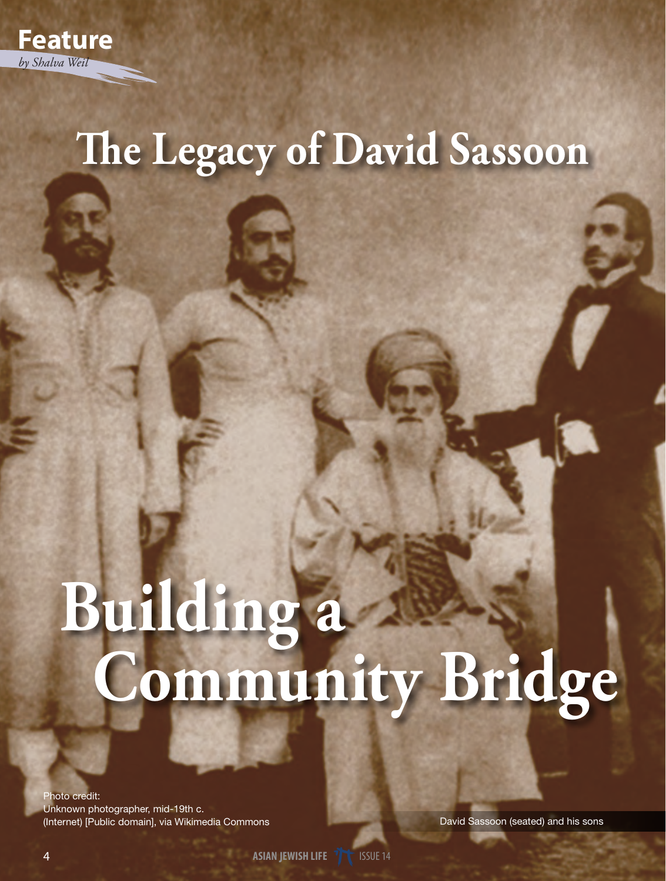

# **The Legacy of David Sassoon**

# **Building a Community Bridge**

Photo credit: Unknown photographer, mid-19th c. (Internet) [Public domain], via Wikimedia Commons

David Sassoon (seated) and his sons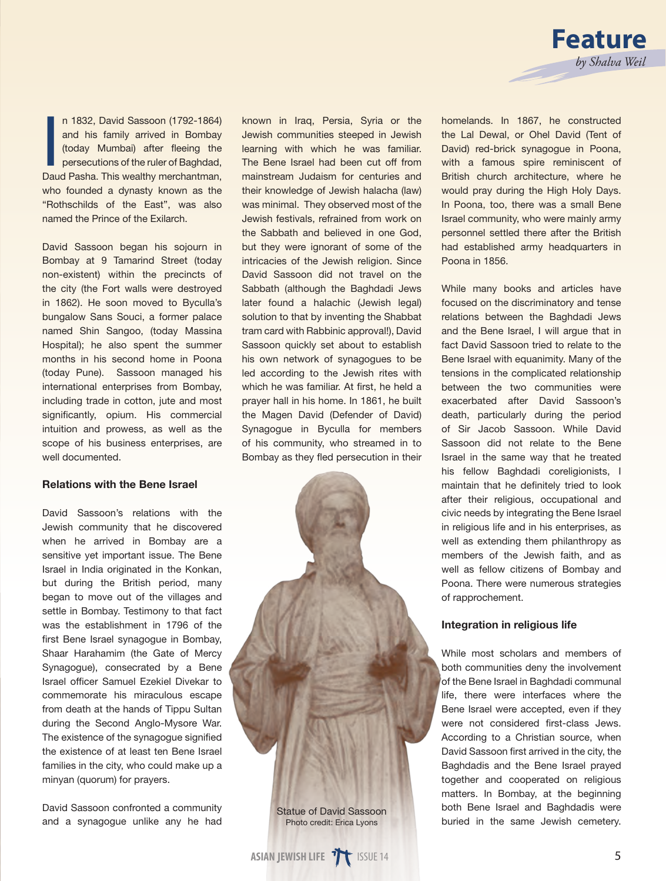

n 1832, David Sassoon (1792-1864)<br>and his family arrived in Bombay<br>(today Mumbai) after fleeing the<br>persecutions of the ruler of Baghdad,<br>Daud Pasha. This wealthy merchantman, n 1832, David Sassoon (1792-1864) and his family arrived in Bombay (today Mumbai) after fleeing the persecutions of the ruler of Baghdad, who founded a dynasty known as the "Rothschilds of the East", was also named the Prince of the Exilarch.

David Sassoon began his sojourn in Bombay at 9 Tamarind Street (today non-existent) within the precincts of the city (the Fort walls were destroyed in 1862). He soon moved to Byculla's bungalow Sans Souci, a former palace named Shin Sangoo, (today Massina Hospital); he also spent the summer months in his second home in Poona (today Pune). Sassoon managed his international enterprises from Bombay, including trade in cotton, jute and most significantly, opium. His commercial intuition and prowess, as well as the scope of his business enterprises, are well documented.

#### Relations with the Bene Israel

David Sassoon's relations with the Jewish community that he discovered when he arrived in Bombay are a sensitive yet important issue. The Bene Israel in India originated in the Konkan, but during the British period, many began to move out of the villages and settle in Bombay. Testimony to that fact was the establishment in 1796 of the first Bene Israel synagogue in Bombay, Shaar Harahamim (the Gate of Mercy Synagogue), consecrated by a Bene Israel officer Samuel Ezekiel Divekar to commemorate his miraculous escape from death at the hands of Tippu Sultan during the Second Anglo-Mysore War. The existence of the synagogue signified the existence of at least ten Bene Israel families in the city, who could make up a minyan (quorum) for prayers.

David Sassoon confronted a community and a synagogue unlike any he had

known in Iraq, Persia, Syria or the Jewish communities steeped in Jewish learning with which he was familiar. The Bene Israel had been cut off from mainstream Judaism for centuries and their knowledge of Jewish halacha (law) was minimal. They observed most of the Jewish festivals, refrained from work on the Sabbath and believed in one God, but they were ignorant of some of the intricacies of the Jewish religion. Since David Sassoon did not travel on the Sabbath (although the Baghdadi Jews later found a halachic (Jewish legal) solution to that by inventing the Shabbat tram card with Rabbinic approval!), David Sassoon quickly set about to establish his own network of synagogues to be led according to the Jewish rites with which he was familiar. At first, he held a prayer hall in his home. In 1861, he built the Magen David (Defender of David) Synagogue in Byculla for members of his community, who streamed in to Bombay as they fled persecution in their



homelands. In 1867, he constructed the Lal Dewal, or Ohel David (Tent of David) red-brick synagogue in Poona, with a famous spire reminiscent of British church architecture, where he would pray during the High Holy Days. In Poona, too, there was a small Bene Israel community, who were mainly army personnel settled there after the British had established army headquarters in Poona in 1856.

While many books and articles have focused on the discriminatory and tense relations between the Baghdadi Jews and the Bene Israel, I will argue that in fact David Sassoon tried to relate to the Bene Israel with equanimity. Many of the tensions in the complicated relationship between the two communities were exacerbated after David Sassoon's death, particularly during the period of Sir Jacob Sassoon. While David Sassoon did not relate to the Bene Israel in the same way that he treated his fellow Baghdadi coreligionists, I maintain that he definitely tried to look after their religious, occupational and civic needs by integrating the Bene Israel in religious life and in his enterprises, as well as extending them philanthropy as members of the Jewish faith, and as well as fellow citizens of Bombay and Poona. There were numerous strategies of rapprochement.

## Integration in religious life

While most scholars and members of both communities deny the involvement of the Bene Israel in Baghdadi communal life, there were interfaces where the Bene Israel were accepted, even if they were not considered first-class Jews. According to a Christian source, when David Sassoon first arrived in the city, the Baghdadis and the Bene Israel prayed together and cooperated on religious matters. In Bombay, at the beginning both Bene Israel and Baghdadis were buried in the same Jewish cemetery.